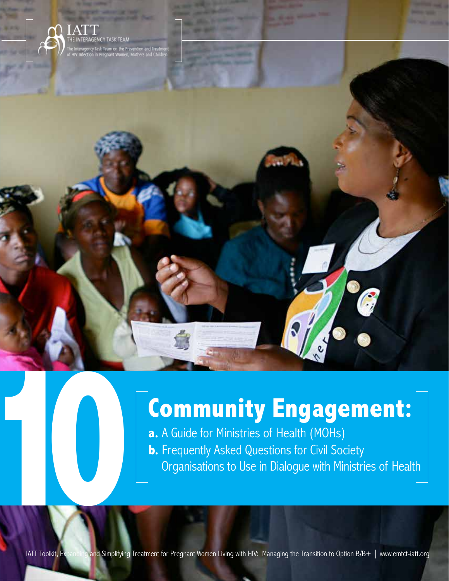

# **Community Engagement:**

**a.** A Guide for Ministries of Health (MOHs) **b.** Frequently Asked Questions for Civil Society Organisations to Use in Dialogue with Ministries of Health

Community Engagement: A Guide for Ministries of Health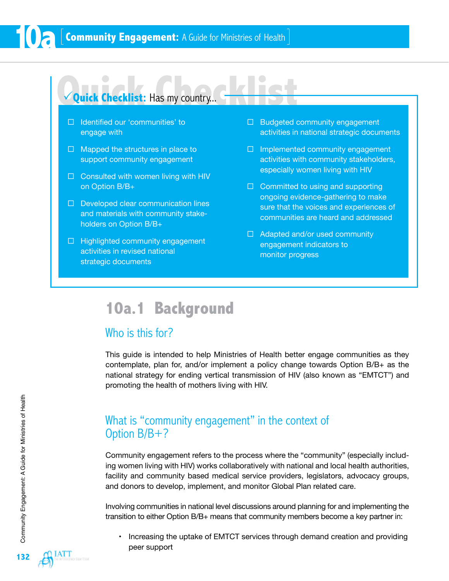### **Quick Checklist: Has my country...**

- $\Box$  Identified our 'communities' to engage with
- $\Box$  Mapped the structures in place to support community engagement
- $\square$  Consulted with women living with HIV on Option B/B+
- $\Box$  Developed clear communication lines and materials with community stakeholders on Option B/B+
- $\Box$  Highlighted community engagement activities in revised national strategic documents
- $\Box$  Budgeted community engagement activities in national strategic documents
- $\Box$  Implemented community engagement activities with community stakeholders, especially women living with HIV
- $\Box$  Committed to using and supporting ongoing evidence-gathering to make sure that the voices and experiences of communities are heard and addressed
- $\Box$  Adapted and/or used community engagement indicators to monitor progress

## **10a.1 Background**

### Who is this for?

This guide is intended to help Ministries of Health better engage communities as they contemplate, plan for, and/or implement a policy change towards Option B/B+ as the national strategy for ending vertical transmission of HIV (also known as "EMTCT") and promoting the health of mothers living with HIV.

### What is "community engagement" in the context of Option B/B+?

Community engagement refers to the process where the "community" (especially including women living with HIV) works collaboratively with national and local health authorities, facility and community based medical service providers, legislators, advocacy groups, and donors to develop, implement, and monitor Global Plan related care.

Involving communities in national level discussions around planning for and implementing the transition to either Option B/B+ means that community members become a key partner in:

• Increasing the uptake of EMTCT services through demand creation and providing peer support

**10a**

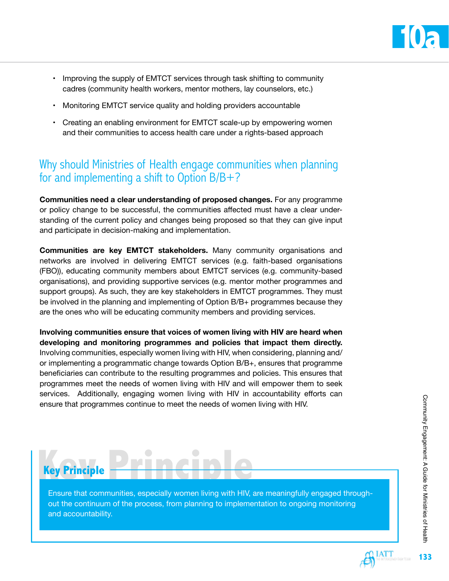

- Improving the supply of EMTCT services through task shifting to community cadres (community health workers, mentor mothers, lay counselors, etc.)
- Monitoring EMTCT service quality and holding providers accountable
- Creating an enabling environment for EMTCT scale-up by empowering women and their communities to access health care under a rights-based approach

### Why should Ministries of Health engage communities when planning for and implementing a shift to Option B/B+?

**Communities need a clear understanding of proposed changes.** For any programme or policy change to be successful, the communities affected must have a clear understanding of the current policy and changes being proposed so that they can give input and participate in decision-making and implementation.

**Communities are key EMTCT stakeholders.** Many community organisations and networks are involved in delivering EMTCT services (e.g. faith-based organisations (FBO)), educating community members about EMTCT services (e.g. community-based organisations), and providing supportive services (e.g. mentor mother programmes and support groups). As such, they are key stakeholders in EMTCT programmes. They must be involved in the planning and implementing of Option B/B+ programmes because they are the ones who will be educating community members and providing services.

**Involving communities ensure that voices of women living with HIV are heard when developing and monitoring programmes and policies that impact them directly.**  Involving communities, especially women living with HIV, when considering, planning and/ or implementing a programmatic change towards Option B/B+, ensures that programme beneficiaries can contribute to the resulting programmes and policies. This ensures that programmes meet the needs of women living with HIV and will empower them to seek services. Additionally, engaging women living with HIV in accountability efforts can ensure that programmes continue to meet the needs of women living with HIV.



Ensure that communities, especially women living with HIV, are meaningfully engaged throughout the continuum of the process, from planning to implementation to ongoing monitoring and accountability.

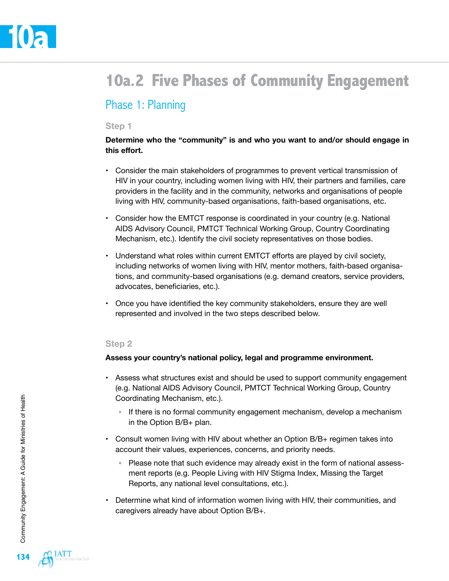# **10a.2 Five Phases of Community Engagement**

### Phase 1: Planning

#### **Step 1**

#### **Determine who the "community" is and who you want to and/or should engage in this effort.**

- Consider the main stakeholders of programmes to prevent vertical transmission of HIV in your country, including women living with HIV, their partners and families, care providers in the facility and in the community, networks and organisations of people living with HIV, community-based organisations, faith-based organisations, etc.
- Consider how the EMTCT response is coordinated in your country (e.g. National AIDS Advisory Council, PMTCT Technical Working Group, Country Coordinating Mechanism, etc.). Identify the civil society representatives on those bodies.
- Understand what roles within current EMTCT efforts are played by civil society, including networks of women living with HIV, mentor mothers, faith-based organisations, and community-based organisations (e.g. demand creators, service providers, advocates, beneficiaries, etc.).
- Once you have identified the key community stakeholders, ensure they are well represented and involved in the two steps described below.

#### **Step 2**

#### **Assess your country's national policy, legal and programme environment.**

- Assess what structures exist and should be used to support community engagement (e.g. National AIDS Advisory Council, PMTCT Technical Working Group, Country Coordinating Mechanism, etc.).
	- If there is no formal community engagement mechanism, develop a mechanism in the Option B/B+ plan.
- Consult women living with HIV about whether an Option B/B+ regimen takes into account their values, experiences, concerns, and priority needs.
	- Please note that such evidence may already exist in the form of national assessment reports (e.g. People Living with HIV Stigma Index, Missing the Target Reports, any national level consultations, etc.).
- Determine what kind of information women living with HIV, their communities, and caregivers already have about Option B/B+.

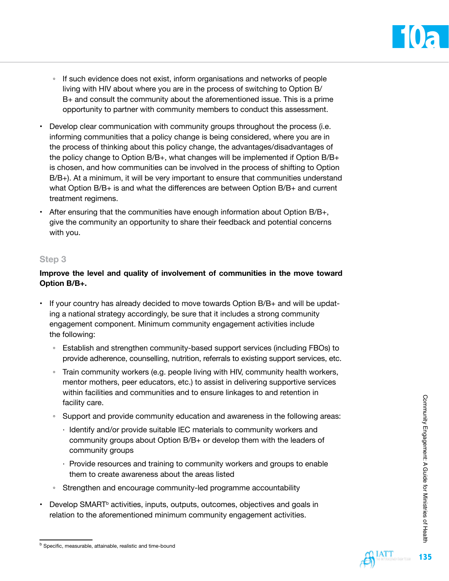

- If such evidence does not exist, inform organisations and networks of people living with HIV about where you are in the process of switching to Option B/ B+ and consult the community about the aforementioned issue. This is a prime opportunity to partner with community members to conduct this assessment.
- Develop clear communication with community groups throughout the process (i.e. informing communities that a policy change is being considered, where you are in the process of thinking about this policy change, the advantages/disadvantages of the policy change to Option B/B+, what changes will be implemented if Option B/B+ is chosen, and how communities can be involved in the process of shifting to Option B/B+). At a minimum, it will be very important to ensure that communities understand what Option B/B+ is and what the differences are between Option B/B+ and current treatment regimens.
- After ensuring that the communities have enough information about Option  $B/B<sub>+</sub>$ , give the community an opportunity to share their feedback and potential concerns with you.

#### **Step 3**

#### **Improve the level and quality of involvement of communities in the move toward Option B/B+.**

- If your country has already decided to move towards Option B/B+ and will be updating a national strategy accordingly, be sure that it includes a strong community engagement component. Minimum community engagement activities include the following:
	- Establish and strengthen community-based support services (including FBOs) to provide adherence, counselling, nutrition, referrals to existing support services, etc.
	- Train community workers (e.g. people living with HIV, community health workers, mentor mothers, peer educators, etc.) to assist in delivering supportive services within facilities and communities and to ensure linkages to and retention in facility care.
	- Support and provide community education and awareness in the following areas:
		- · Identify and/or provide suitable IEC materials to community workers and community groups about Option B/B+ or develop them with the leaders of community groups
		- · Provide resources and training to community workers and groups to enable them to create awareness about the areas listed
	- Strengthen and encourage community-led programme accountability
- Develop SMART<sup>b</sup> activities, inputs, outputs, outcomes, objectives and goals in relation to the aforementioned minimum community engagement activities.



b Specific, measurable, attainable, realistic and time-bound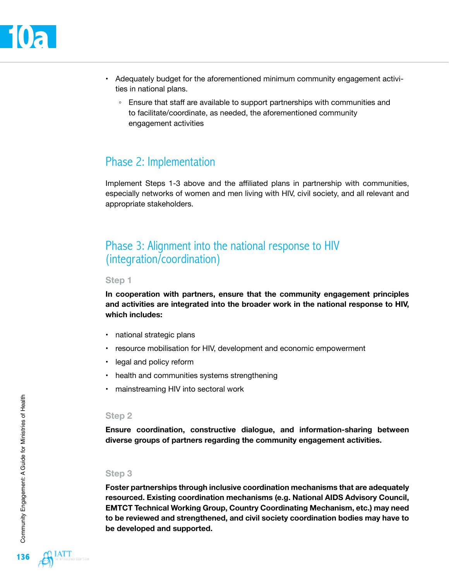- Adequately budget for the aforementioned minimum community engagement activities in national plans.
	- Ensure that staff are available to support partnerships with communities and to facilitate/coordinate, as needed, the aforementioned community engagement activities

### Phase 2: Implementation

Implement Steps 1-3 above and the affiliated plans in partnership with communities, especially networks of women and men living with HIV, civil society, and all relevant and appropriate stakeholders.

### Phase 3: Alignment into the national response to HIV (integration/coordination)

#### **Step 1**

**In cooperation with partners, ensure that the community engagement principles and activities are integrated into the broader work in the national response to HIV, which includes:** 

- national strategic plans
- resource mobilisation for HIV, development and economic empowerment
- legal and policy reform
- health and communities systems strengthening
- mainstreaming HIV into sectoral work

#### **Step 2**

**Ensure coordination, constructive dialogue, and information-sharing between diverse groups of partners regarding the community engagement activities.** 

#### **Step 3**

**Foster partnerships through inclusive coordination mechanisms that are adequately resourced. Existing coordination mechanisms (e.g. National AIDS Advisory Council, EMTCT Technical Working Group, Country Coordinating Mechanism, etc.) may need to be reviewed and strengthened, and civil society coordination bodies may have to be developed and supported.**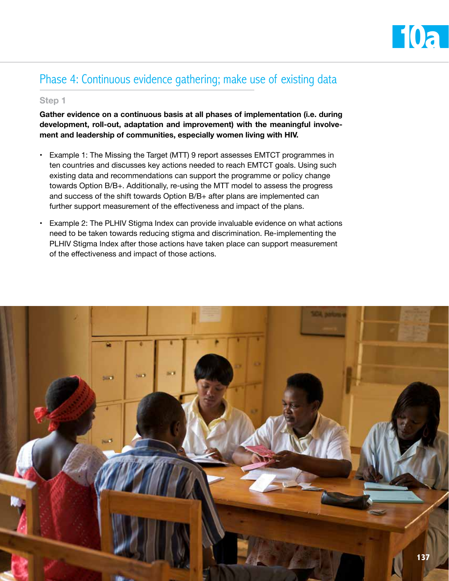

### Phase 4: Continuous evidence gathering; make use of existing data

#### **Step 1**

**Gather evidence on a continuous basis at all phases of implementation (i.e. during development, roll-out, adaptation and improvement) with the meaningful involvement and leadership of communities, especially women living with HIV.** 

- Example 1: The Missing the Target (MTT) 9 report assesses EMTCT programmes in ten countries and discusses key actions needed to reach EMTCT goals. Using such existing data and recommendations can support the programme or policy change towards Option B/B+. Additionally, re-using the MTT model to assess the progress and success of the shift towards Option B/B+ after plans are implemented can further support measurement of the effectiveness and impact of the plans.
- Example 2: The PLHIV Stigma Index can provide invaluable evidence on what actions need to be taken towards reducing stigma and discrimination. Re-implementing the PLHIV Stigma Index after those actions have taken place can support measurement of the effectiveness and impact of those actions.

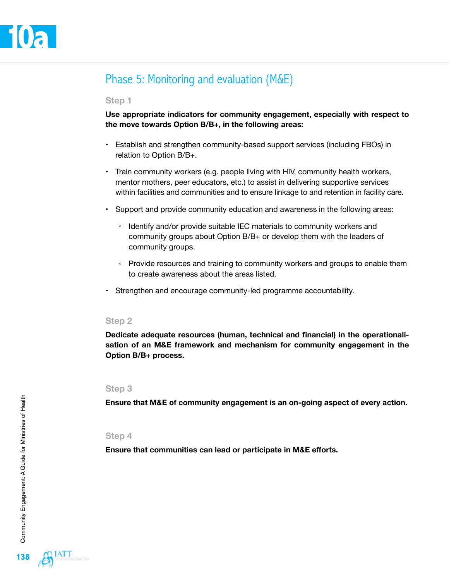### Phase 5: Monitoring and evaluation (M&E)

#### **Step 1**

**Use appropriate indicators for community engagement, especially with respect to the move towards Option B/B+, in the following areas:** 

- Establish and strengthen community-based support services (including FBOs) in relation to Option B/B+.
- Train community workers (e.g. people living with HIV, community health workers, mentor mothers, peer educators, etc.) to assist in delivering supportive services within facilities and communities and to ensure linkage to and retention in facility care.
- Support and provide community education and awareness in the following areas:
	- Identify and/or provide suitable IEC materials to community workers and community groups about Option B/B+ or develop them with the leaders of community groups.
	- Provide resources and training to community workers and groups to enable them to create awareness about the areas listed.
- Strengthen and encourage community-led programme accountability.

#### **Step 2**

**Dedicate adequate resources (human, technical and financial) in the operationalisation of an M&E framework and mechanism for community engagement in the Option B/B+ process.**

#### **Step 3**

**Ensure that M&E of community engagement is an on-going aspect of every action.** 

#### **Step 4**

**Ensure that communities can lead or participate in M&E efforts.**

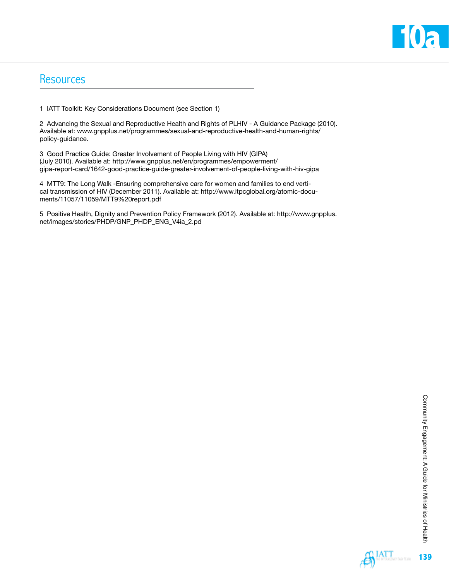

### **Resources**

1 IATT Toolkit: Key Considerations Document (see Section 1)

2 Advancing the Sexual and Reproductive Health and Rights of PLHIV - A Guidance Package (2010). Available at: [www.gnpplus.net/programmes/sexual-and-reproductive-health-and-human-rights/](http://www.gnpplus.net/programmes/sexual-and-reproductive-health-and-human-rights/policy-guidance) [policy-guidance](http://www.gnpplus.net/programmes/sexual-and-reproductive-health-and-human-rights/policy-guidance).

3 Good Practice Guide: Greater Involvement of People Living with HIV (GIPA) (July 2010). Available at: [http://www.gnpplus.net/en/programmes/empowerment/](http://www.gnpplus.net/en/programmes/empowerment/gipa-report-card/1642-good-practice-guide-greater-involvement-of-people-living-with-hiv-gipa) [gipa-report-card/1642-good-practice-guide-greater-involvement-of-people-living-with-hiv-gipa](http://www.gnpplus.net/en/programmes/empowerment/gipa-report-card/1642-good-practice-guide-greater-involvement-of-people-living-with-hiv-gipa)

4 MTT9: The Long Walk -Ensuring comprehensive care for women and families to end vertical transmission of HIV (December 2011). Available at: [http://www.itpcglobal.org/atomic-docu](http://www.itpcglobal.org/atomic-documents/11057/11059/MTT9%20report.pdf)[ments/11057/11059/MTT9%20report.pdf](http://www.itpcglobal.org/atomic-documents/11057/11059/MTT9%20report.pdf)

5 Positive Health, Dignity and Prevention Policy Framework (2012). Available at: [http://www.gnpplus.](http://www.gnpplus.net/images/stories/PHDP/GNP_PHDP_ENG_V4ia_2.pd) [net/images/stories/PHDP/GNP\\_PHDP\\_ENG\\_V4ia\\_2.pd](http://www.gnpplus.net/images/stories/PHDP/GNP_PHDP_ENG_V4ia_2.pd)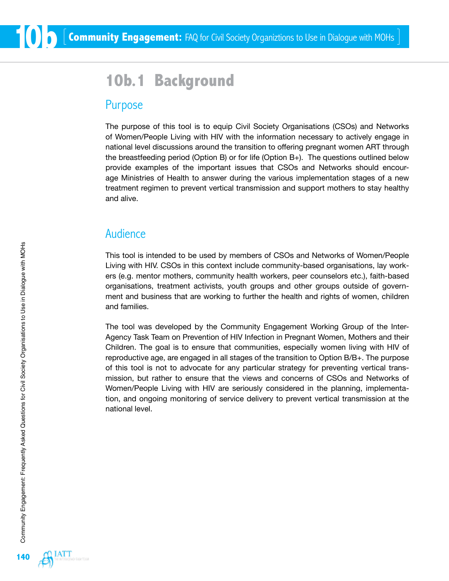# **10b.1 Background**

### Purpose

The purpose of this tool is to equip Civil Society Organisations (CSOs) and Networks of Women/People Living with HIV with the information necessary to actively engage in national level discussions around the transition to offering pregnant women ART through the breastfeeding period (Option B) or for life (Option B+). The questions outlined below provide examples of the important issues that CSOs and Networks should encourage Ministries of Health to answer during the various implementation stages of a new treatment regimen to prevent vertical transmission and support mothers to stay healthy and alive.

### Audience

This tool is intended to be used by members of CSOs and Networks of Women/People Living with HIV. CSOs in this context include community-based organisations, lay workers (e.g. mentor mothers, community health workers, peer counselors etc.), faith-based organisations, treatment activists, youth groups and other groups outside of government and business that are working to further the health and rights of women, children and families.

The tool was developed by the Community Engagement Working Group of the Inter-Agency Task Team on Prevention of HIV Infection in Pregnant Women, Mothers and their Children. The goal is to ensure that communities, especially women living with HIV of reproductive age, are engaged in all stages of the transition to Option B/B+. The purpose of this tool is not to advocate for any particular strategy for preventing vertical transmission, but rather to ensure that the views and concerns of CSOs and Networks of Women/People Living with HIV are seriously considered in the planning, implementation, and ongoing monitoring of service delivery to prevent vertical transmission at the national level.

**10b**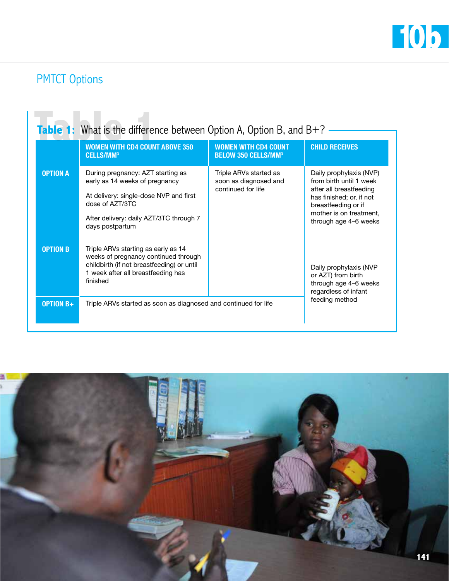

# PMTCT Options

|                 | <b>WOMEN WITH CD4 COUNT ABOVE 350</b><br><b>CELLS/MM<sup>3</sup></b>                                                                                                                           | <b>WOMEN WITH CD4 COUNT</b><br><b>BELOW 350 CELLS/MM<sup>3</sup></b>  | <b>CHILD RECEIVES</b>                                                                                                                                                                |
|-----------------|------------------------------------------------------------------------------------------------------------------------------------------------------------------------------------------------|-----------------------------------------------------------------------|--------------------------------------------------------------------------------------------------------------------------------------------------------------------------------------|
| <b>OPTION A</b> | During pregnancy: AZT starting as<br>early as 14 weeks of pregnancy<br>At delivery: single-dose NVP and first<br>dose of AZT/3TC<br>After delivery: daily AZT/3TC through 7<br>days postpartum | Triple ARVs started as<br>soon as diagnosed and<br>continued for life | Daily prophylaxis (NVP)<br>from birth until 1 week<br>after all breastfeeding<br>has finished; or, if not<br>breastfeeding or if<br>mother is on treatment,<br>through age 4-6 weeks |
| <b>OPTION B</b> | Triple ARVs starting as early as 14<br>weeks of pregnancy continued through<br>childbirth (if not breastfeeding) or until<br>1 week after all breastfeeding has<br>finished                    |                                                                       | Daily prophylaxis (NVP<br>or AZT) from birth<br>through age 4-6 weeks<br>regardless of infant<br>feeding method                                                                      |

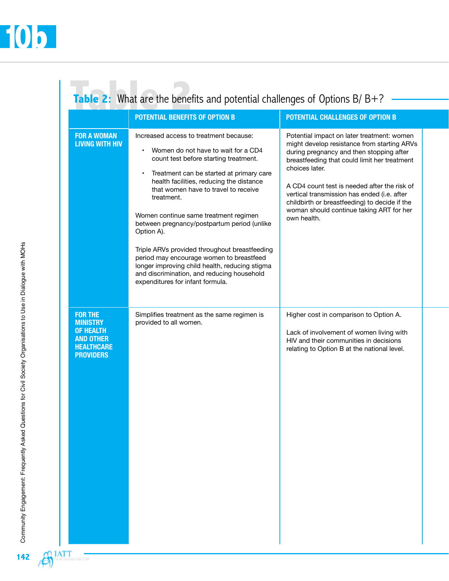$\bigoplus$ <sup>LATT</sup>

getem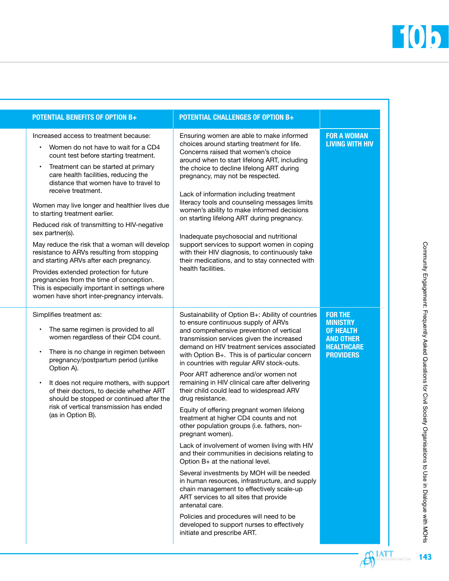٦

| <b>POTENTIAL BENEFITS OF OPTION B+</b>                                                                                                                                                                                                                                                                                                                                                                                                                                                                                                                                                                                                                                                                                                                         | <b>POTENTIAL CHALLENGES OF OPTION B+</b>                                                                                                                                                                                                                                                                                                                                                                                                                                                                                                                                                                                                                                                                                                                                                                                                                                                                                                                                                                                                                                                                                  |                                                                                                                    |
|----------------------------------------------------------------------------------------------------------------------------------------------------------------------------------------------------------------------------------------------------------------------------------------------------------------------------------------------------------------------------------------------------------------------------------------------------------------------------------------------------------------------------------------------------------------------------------------------------------------------------------------------------------------------------------------------------------------------------------------------------------------|---------------------------------------------------------------------------------------------------------------------------------------------------------------------------------------------------------------------------------------------------------------------------------------------------------------------------------------------------------------------------------------------------------------------------------------------------------------------------------------------------------------------------------------------------------------------------------------------------------------------------------------------------------------------------------------------------------------------------------------------------------------------------------------------------------------------------------------------------------------------------------------------------------------------------------------------------------------------------------------------------------------------------------------------------------------------------------------------------------------------------|--------------------------------------------------------------------------------------------------------------------|
| Increased access to treatment because:<br>• Women do not have to wait for a CD4<br>count test before starting treatment.<br>Treatment can be started at primary<br>care health facilities, reducing the<br>distance that women have to travel to<br>receive treatment.<br>Women may live longer and healthier lives due<br>to starting treatment earlier.<br>Reduced risk of transmitting to HIV-negative<br>sex partner(s).<br>May reduce the risk that a woman will develop<br>resistance to ARVs resulting from stopping<br>and starting ARVs after each pregnancy.<br>Provides extended protection for future<br>pregnancies from the time of conception.<br>This is especially important in settings where<br>women have short inter-pregnancy intervals. | Ensuring women are able to make informed<br>choices around starting treatment for life.<br>Concerns raised that women's choice<br>around when to start lifelong ART, including<br>the choice to decline lifelong ART during<br>pregnancy, may not be respected.<br>Lack of information including treatment<br>literacy tools and counseling messages limits<br>women's ability to make informed decisions<br>on starting lifelong ART during pregnancy.<br>Inadequate psychosocial and nutritional<br>support services to support women in coping<br>with their HIV diagnosis, to continuously take<br>their medications, and to stay connected with<br>health facilities.                                                                                                                                                                                                                                                                                                                                                                                                                                                | <b>FOR A WOMAN</b><br><b>LIVING WITH HIV</b>                                                                       |
| Simplifies treatment as:<br>The same regimen is provided to all<br>women regardless of their CD4 count.<br>There is no change in regimen between<br>pregnancy/postpartum period (unlike<br>Option A).<br>It does not require mothers, with support<br>of their doctors, to decide whether ART<br>should be stopped or continued after the<br>risk of vertical transmission has ended<br>(as in Option B).                                                                                                                                                                                                                                                                                                                                                      | Sustainability of Option B+: Ability of countries<br>to ensure continuous supply of ARVs<br>and comprehensive prevention of vertical<br>transmission services given the increased<br>demand on HIV treatment services associated<br>with Option B+. This is of particular concern<br>in countries with regular ARV stock-outs.<br>Poor ART adherence and/or women not<br>remaining in HIV clinical care after delivering<br>their child could lead to widespread ARV<br>drug resistance.<br>Equity of offering pregnant women lifelong<br>treatment at higher CD4 counts and not<br>other population groups (i.e. fathers, non-<br>pregnant women).<br>Lack of involvement of women living with HIV<br>and their communities in decisions relating to<br>Option B+ at the national level.<br>Several investments by MOH will be needed<br>in human resources, infrastructure, and supply<br>chain management to effectively scale-up<br>ART services to all sites that provide<br>antenatal care.<br>Policies and procedures will need to be<br>developed to support nurses to effectively<br>initiate and prescribe ART. | <b>FOR THE</b><br><b>MINISTRY</b><br><b>OF HEALTH</b><br><b>AND OTHER</b><br><b>HEALTHCARE</b><br><b>PROVIDERS</b> |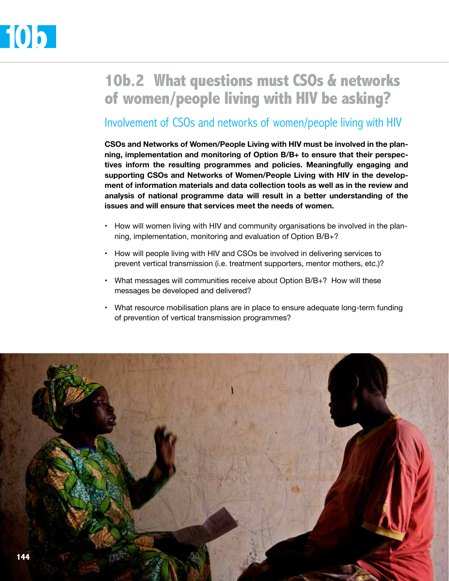# **10b.2 What questions must CSOs & networks of women/people living with HIV be asking?**

### Involvement of CSOs and networks of women/people living with HIV

**CSOs and Networks of Women/People Living with HIV must be involved in the planning, implementation and monitoring of Option B/B+ to ensure that their perspectives inform the resulting programmes and policies. Meaningfully engaging and supporting CSOs and Networks of Women/People Living with HIV in the development of information materials and data collection tools as well as in the review and analysis of national programme data will result in a better understanding of the issues and will ensure that services meet the needs of women.** 

- How will women living with HIV and community organisations be involved in the planning, implementation, monitoring and evaluation of Option B/B+?
- How will people living with HIV and CSOs be involved in delivering services to prevent vertical transmission (i.e. treatment supporters, mentor mothers, etc.)?
- What messages will communities receive about Option B/B+? How will these messages be developed and delivered?
- What resource mobilisation plans are in place to ensure adequate long-term funding of prevention of vertical transmission programmes?

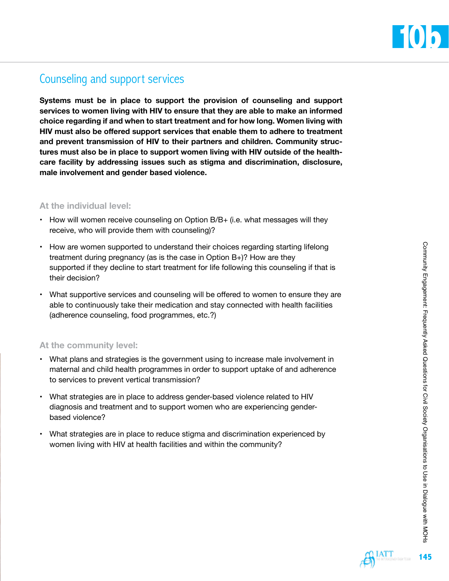

### Counseling and support services

**Systems must be in place to support the provision of counseling and support services to women living with HIV to ensure that they are able to make an informed choice regarding if and when to start treatment and for how long. Women living with HIV must also be offered support services that enable them to adhere to treatment and prevent transmission of HIV to their partners and children. Community structures must also be in place to support women living with HIV outside of the healthcare facility by addressing issues such as stigma and discrimination, disclosure, male involvement and gender based violence.**

#### **At the individual level:**

- How will women receive counseling on Option B/B+ (i.e. what messages will they receive, who will provide them with counseling)?
- How are women supported to understand their choices regarding starting lifelong treatment during pregnancy (as is the case in Option B+)? How are they supported if they decline to start treatment for life following this counseling if that is their decision?
- What supportive services and counseling will be offered to women to ensure they are able to continuously take their medication and stay connected with health facilities (adherence counseling, food programmes, etc.?)

#### **At the community level:**

- What plans and strategies is the government using to increase male involvement in maternal and child health programmes in order to support uptake of and adherence to services to prevent vertical transmission?
- What strategies are in place to address gender-based violence related to HIV diagnosis and treatment and to support women who are experiencing genderbased violence?
- What strategies are in place to reduce stigma and discrimination experienced by women living with HIV at health facilities and within the community?

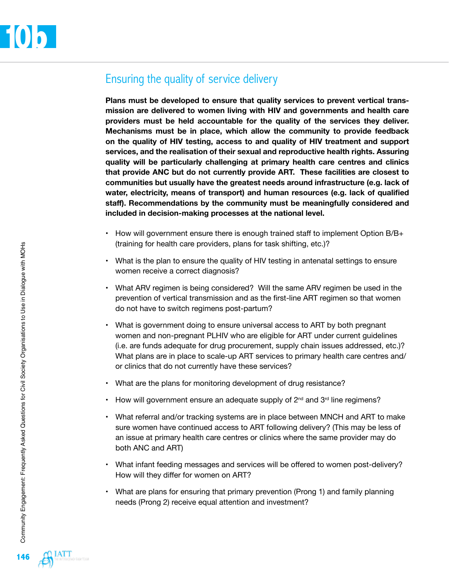### Ensuring the quality of service delivery

**Plans must be developed to ensure that quality services to prevent vertical transmission are delivered to women living with HIV and governments and health care providers must be held accountable for the quality of the services they deliver. Mechanisms must be in place, which allow the community to provide feedback on the quality of HIV testing, access to and quality of HIV treatment and support services, and the realisation of their sexual and reproductive health rights. Assuring quality will be particularly challenging at primary health care centres and clinics that provide ANC but do not currently provide ART. These facilities are closest to communities but usually have the greatest needs around infrastructure (e.g. lack of water, electricity, means of transport) and human resources (e.g. lack of qualified staff). Recommendations by the community must be meaningfully considered and included in decision-making processes at the national level.** 

- How will government ensure there is enough trained staff to implement Option B/B+ (training for health care providers, plans for task shifting, etc.)?
- What is the plan to ensure the quality of HIV testing in antenatal settings to ensure women receive a correct diagnosis?
- What ARV regimen is being considered? Will the same ARV regimen be used in the prevention of vertical transmission and as the first-line ART regimen so that women do not have to switch regimens post-partum?
- What is government doing to ensure universal access to ART by both pregnant women and non-pregnant PLHIV who are eligible for ART under current guidelines (i.e. are funds adequate for drug procurement, supply chain issues addressed, etc.)? What plans are in place to scale-up ART services to primary health care centres and/ or clinics that do not currently have these services?
- What are the plans for monitoring development of drug resistance?
- How will government ensure an adequate supply of  $2^{nd}$  and  $3^{rd}$  line regimens?
- What referral and/or tracking systems are in place between MNCH and ART to make sure women have continued access to ART following delivery? (This may be less of an issue at primary health care centres or clinics where the same provider may do both ANC and ART)
- What infant feeding messages and services will be offered to women post-delivery? How will they differ for women on ART?
- What are plans for ensuring that primary prevention (Prong 1) and family planning needs (Prong 2) receive equal attention and investment?